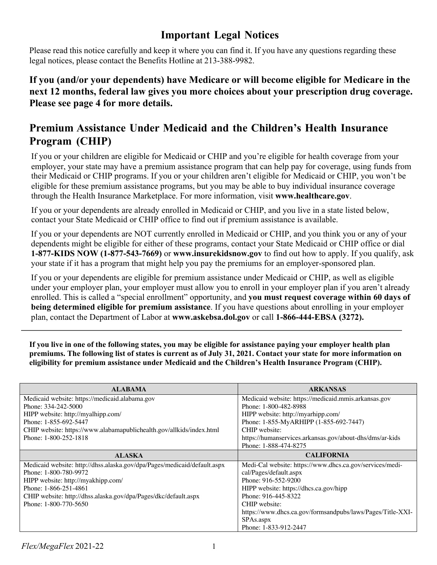# **Important Legal Notices**

Please read this notice carefully and keep it where you can find it. If you have any questions regarding these legal notices, please contact the Benefits Hotline at 213-388-9982.

**If you (and/or your dependents) have Medicare or will become eligible for Medicare in the next 12 months, federal law gives you more choices about your prescription drug coverage. Please see page 4 for more details.**

# **Premium Assistance Under Medicaid and the Children's Health Insurance Program (CHIP)**

If you or your children are eligible for Medicaid or CHIP and you're eligible for health coverage from your employer, your state may have a premium assistance program that can help pay for coverage, using funds from their Medicaid or CHIP programs. If you or your children aren't eligible for Medicaid or CHIP, you won't be eligible for these premium assistance programs, but you may be able to buy individual insurance coverage through the Health Insurance Marketplace. For more information, visit **www.healthcare.gov**.

If you or your dependents are already enrolled in Medicaid or CHIP, and you live in a state listed below, contact your State Medicaid or CHIP office to find out if premium assistance is available.

If you or your dependents are NOT currently enrolled in Medicaid or CHIP, and you think you or any of your dependents might be eligible for either of these programs, contact your State Medicaid or CHIP office or dial **1-877-KIDS NOW (1-877-543-7669)** or **www.insurekidsnow.gov** to find out how to apply. If you qualify, ask your state if it has a program that might help you pay the premiums for an employer-sponsored plan.

If you or your dependents are eligible for premium assistance under Medicaid or CHIP, as well as eligible under your employer plan, your employer must allow you to enroll in your employer plan if you aren't already enrolled. This is called a "special enrollment" opportunity, and **you must request coverage within 60 days of being determined eligible for premium assistance**. If you have questions about enrolling in your employer plan, contact the Department of Labor at **www.askebsa.dol.gov** or call **1-866-444-EBSA (3272).**

**If you live in one of the following states, you may be eligible for assistance paying your employer health plan premiums. The following list of states is current as of July 31, 2021. Contact your state for more information on eligibility for premium assistance under Medicaid and the Children's Health Insurance Program (CHIP).**

| <b>ALABAMA</b>                                                           | <b>ARKANSAS</b>                                            |  |
|--------------------------------------------------------------------------|------------------------------------------------------------|--|
| Medicaid website: https://medicaid.alabama.gov                           | Medicaid website: https://medicaid.mmis.arkansas.gov       |  |
| Phone: 334-242-5000                                                      | Phone: 1-800-482-8988                                      |  |
| HIPP website: http://myalhipp.com/                                       | HIPP website: http://myarhipp.com/                         |  |
| Phone: 1-855-692-5447                                                    | Phone: 1-855-MyARHIPP (1-855-692-7447)                     |  |
| CHIP website: https://www.alabamapublichealth.gov/allkids/index.html     | CHIP website:                                              |  |
| Phone: 1-800-252-1818                                                    | https://humanservices.arkansas.gov/about-dhs/dms/ar-kids   |  |
|                                                                          | Phone: 1-888-474-8275                                      |  |
| <b>ALASKA</b>                                                            | <b>CALIFORNIA</b>                                          |  |
| Medicaid website: http://dhss.alaska.gov/dpa/Pages/medicaid/default.aspx | Medi-Cal website: https://www.dhcs.ca.gov/services/medi-   |  |
| Phone: 1-800-780-9972                                                    | cal/Pages/default.aspx                                     |  |
| HIPP website: http://myakhipp.com/                                       | Phone: 916-552-9200                                        |  |
| Phone: 1-866-251-4861                                                    | HIPP website: https://dhcs.ca.gov/hipp                     |  |
| CHIP website: http://dhss.alaska.gov/dpa/Pages/dkc/default.aspx          | Phone: 916-445-8322                                        |  |
| Phone: 1-800-770-5650                                                    | CHIP website:                                              |  |
|                                                                          | https://www.dhcs.ca.gov/formsandpubs/laws/Pages/Title-XXI- |  |
|                                                                          |                                                            |  |
|                                                                          | SPAs.aspx                                                  |  |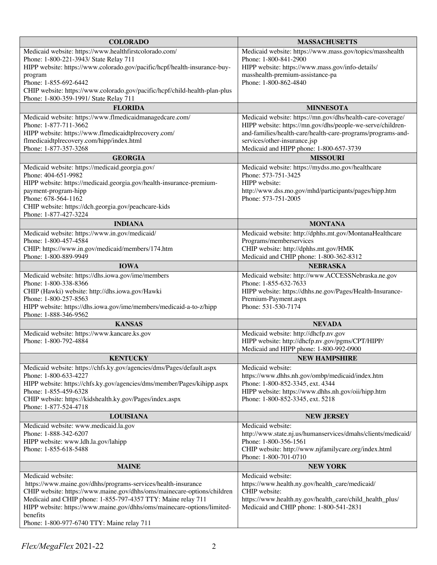| <b>COLORADO</b>                                                                                                                          | <b>MASSACHUSETTS</b>                                                                                                     |  |
|------------------------------------------------------------------------------------------------------------------------------------------|--------------------------------------------------------------------------------------------------------------------------|--|
| Medicaid website: https://www.healthfirstcolorado.com/                                                                                   | Medicaid website: https://www.mass.gov/topics/masshealth                                                                 |  |
| Phone: 1-800-221-3943/ State Relay 711                                                                                                   | Phone: 1-800-841-2900                                                                                                    |  |
| HIPP website: https://www.colorado.gov/pacific/hcpf/health-insurance-buy-<br>program                                                     | HIPP website: https://www.mass.gov/info-details/<br>masshealth-premium-assistance-pa                                     |  |
| Phone: 1-855-692-6442                                                                                                                    | Phone: 1-800-862-4840                                                                                                    |  |
| CHIP website: https://www.colorado.gov/pacific/hcpf/child-health-plan-plus                                                               |                                                                                                                          |  |
| Phone: 1-800-359-1991/ State Relay 711                                                                                                   |                                                                                                                          |  |
| <b>FLORIDA</b>                                                                                                                           | <b>MINNESOTA</b>                                                                                                         |  |
| Medicaid website: https://www.flmedicaidmanagedcare.com/<br>Phone: 1-877-711-3662                                                        | Medicaid website: https://mn.gov/dhs/health-care-coverage/<br>HIPP website: https://mn.gov/dhs/people-we-serve/children- |  |
| HIPP website: https://www.flmedicaidtplrecovery.com/                                                                                     | and-families/health-care/health-care-programs/programs-and-                                                              |  |
| flmedicaidtplrecovery.com/hipp/index.html                                                                                                | services/other-insurance.jsp                                                                                             |  |
| Phone: 1-877-357-3268                                                                                                                    | Medicaid and HIPP phone: 1-800-657-3739                                                                                  |  |
| <b>GEORGIA</b>                                                                                                                           | <b>MISSOURI</b>                                                                                                          |  |
| Medicaid website: https://medicaid.georgia.gov/<br>Phone: 404-651-9982                                                                   | Medicaid website: https://mydss.mo.gov/healthcare<br>Phone: 573-751-3425                                                 |  |
| HIPP website: https://medicaid.georgia.gov/health-insurance-premium-                                                                     | HIPP website:                                                                                                            |  |
| payment-program-hipp                                                                                                                     | http://www.dss.mo.gov/mhd/participants/pages/hipp.htm                                                                    |  |
| Phone: 678-564-1162                                                                                                                      | Phone: 573-751-2005                                                                                                      |  |
| CHIP website: https://dch.georgia.gov/peachcare-kids<br>Phone: 1-877-427-3224                                                            |                                                                                                                          |  |
| <b>INDIANA</b>                                                                                                                           | <b>MONTANA</b>                                                                                                           |  |
| Medicaid website: https://www.in.gov/medicaid/                                                                                           | Medicaid website: http://dphhs.mt.gov/MontanaHealthcare                                                                  |  |
| Phone: 1-800-457-4584<br>CHIP: https://www.in.gov/medicaid/members/174.htm                                                               | Programs/memberservices<br>CHIP website: http://dphhs.mt.gov/HMK                                                         |  |
| Phone: 1-800-889-9949                                                                                                                    | Medicaid and CHIP phone: 1-800-362-8312                                                                                  |  |
| <b>IOWA</b>                                                                                                                              | <b>NEBRASKA</b>                                                                                                          |  |
| Medicaid website: https://dhs.iowa.gov/ime/members                                                                                       | Medicaid website: http://www.ACCESSNebraska.ne.gov                                                                       |  |
| Phone: 1-800-338-8366                                                                                                                    | Phone: 1-855-632-7633                                                                                                    |  |
| CHIP (Hawki) website: http://dhs.iowa.gov/Hawki<br>Phone: 1-800-257-8563                                                                 | HIPP website: https://dhhs.ne.gov/Pages/Health-Insurance-<br>Premium-Payment.aspx                                        |  |
| HIPP website: https://dhs.iowa.gov/ime/members/medicaid-a-to-z/hipp                                                                      | Phone: 531-530-7174                                                                                                      |  |
| Phone: 1-888-346-9562                                                                                                                    |                                                                                                                          |  |
| <b>KANSAS</b>                                                                                                                            | <b>NEVADA</b>                                                                                                            |  |
| Medicaid website: https://www.kancare.ks.gov<br>Phone: 1-800-792-4884                                                                    | Medicaid website: http://dhcfp.nv.gov<br>HIPP website: http://dhcfp.nv.gov/pgms/CPT/HIPP/                                |  |
|                                                                                                                                          | Medicaid and HIPP phone: 1-800-992-0900                                                                                  |  |
| <b>KENTUCKY</b>                                                                                                                          | <b>NEW HAMPSHIRE</b>                                                                                                     |  |
| Medicaid website: https://chfs.ky.gov/agencies/dms/Pages/default.aspx                                                                    | Medicaid website:                                                                                                        |  |
| Phone: 1-800-633-4227                                                                                                                    | https://www.dhhs.nh.gov/ombp/medicaid/index.htm                                                                          |  |
| HIPP website: https://chfs.ky.gov/agencies/dms/member/Pages/kihipp.aspx<br>Phone: 1-855-459-6328                                         | Phone: 1-800-852-3345, ext. 4344<br>HIPP website: https://www.dhhs.nh.gov/oii/hipp.htm                                   |  |
| CHIP website: https://kidshealth.ky.gov/Pages/index.aspx                                                                                 | Phone: 1-800-852-3345, ext. 5218                                                                                         |  |
| Phone: 1-877-524-4718                                                                                                                    |                                                                                                                          |  |
| <b>LOUISIANA</b>                                                                                                                         | <b>NEW JERSEY</b>                                                                                                        |  |
| Medicaid website: www.medicaid.la.gov                                                                                                    | Medicaid website:                                                                                                        |  |
| Phone: 1-888-342-6207<br>HIPP website: www.ldh.la.gov/lahipp                                                                             | http://www.state.nj.us/humanservices/dmahs/clients/medicaid/<br>Phone: 1-800-356-1561                                    |  |
| Phone: 1-855-618-5488                                                                                                                    | CHIP website: http://www.njfamilycare.org/index.html                                                                     |  |
|                                                                                                                                          | Phone: 1-800-701-0710                                                                                                    |  |
| <b>MAINE</b>                                                                                                                             | <b>NEW YORK</b>                                                                                                          |  |
| Medicaid website:                                                                                                                        | Medicaid website:                                                                                                        |  |
| https://www.maine.gov/dhhs/programs-services/health-insurance<br>CHIP website: https://www.maine.gov/dhhs/oms/mainecare-options/children | https://www.health.ny.gov/health_care/medicaid/<br>CHIP website:                                                         |  |
| Medicaid and CHIP phone: 1-855-797-4357 TTY: Maine relay 711                                                                             | https://www.health.ny.gov/health_care/child_health_plus/                                                                 |  |
| HIPP website: https://www.maine.gov/dhhs/oms/mainecare-options/limited-                                                                  | Medicaid and CHIP phone: 1-800-541-2831                                                                                  |  |
| benefits                                                                                                                                 |                                                                                                                          |  |
| Phone: 1-800-977-6740 TTY: Maine relay 711                                                                                               |                                                                                                                          |  |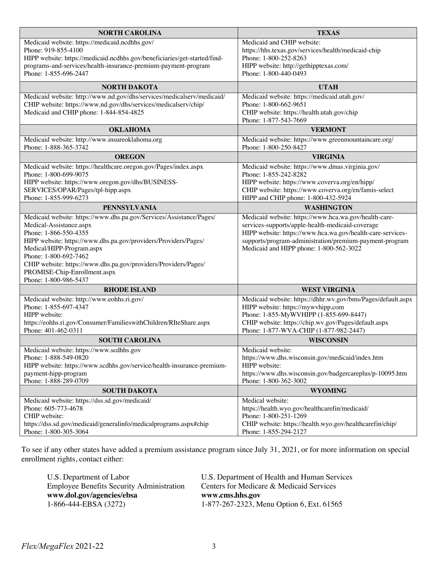| <b>NORTH CAROLINA</b>                                                                      | <b>TEXAS</b>                                                                                                   |  |
|--------------------------------------------------------------------------------------------|----------------------------------------------------------------------------------------------------------------|--|
| Medicaid website: https://medicaid.ncdhhs.gov/                                             | Medicaid and CHIP website:                                                                                     |  |
| Phone: 919-855-4100                                                                        | https://hhs.texas.gov/services/health/medicaid-chip                                                            |  |
| HIPP website: https://medicaid.ncdhhs.gov/beneficiaries/get-started/find-                  | Phone: 1-800-252-8263                                                                                          |  |
| programs-and-services/health-insurance-premium-payment-program                             | HIPP website: http://gethipptexas.com/                                                                         |  |
| Phone: 1-855-696-2447                                                                      | Phone: 1-800-440-0493                                                                                          |  |
| NORTH DAKOTA                                                                               | <b>UTAH</b>                                                                                                    |  |
| Medicaid website: http://www.nd.gov/dhs/services/medicalserv/medicaid/                     | Medicaid website: https://medicaid.utah.gov/                                                                   |  |
| CHIP website: https://www.nd.gov/dhs/services/medicalserv/chip/                            | Phone: 1-800-662-9651                                                                                          |  |
| Medicaid and CHIP phone: 1-844-854-4825                                                    | CHIP website: https://health.utah.gov/chip                                                                     |  |
| <b>OKLAHOMA</b>                                                                            | Phone: 1-877-543-7669<br><b>VERMONT</b>                                                                        |  |
| Medicaid website: http://www.insureoklahoma.org                                            | Medicaid website: https://www.greenmountaincare.org/                                                           |  |
| Phone: 1-888-365-3742                                                                      | Phone: 1-800-250-8427                                                                                          |  |
| <b>OREGON</b>                                                                              | <b>VIRGINIA</b>                                                                                                |  |
| Medicaid website: https://healthcare.oregon.gov/Pages/index.aspx                           | Medicaid website: https://www.dmas.virginia.gov/                                                               |  |
| Phone: 1-800-699-9075                                                                      | Phone: 1-855-242-8282                                                                                          |  |
| HIPP website: https://www.oregon.gov/dhs/BUSINESS-                                         | HIPP website: https://www.coverva.org/en/hipp/                                                                 |  |
| SERVICES/OPAR/Pages/tpl-hipp.aspx                                                          | CHIP website: https://www.coverva.org/en/famis-select                                                          |  |
| Phone: 1-855-999-6273<br><b>PENNSYLVANIA</b>                                               | HIPP and CHIP phone: 1-800-432-5924                                                                            |  |
|                                                                                            | <b>WASHINGTON</b>                                                                                              |  |
| Medicaid website: https://www.dhs.pa.gov/Services/Assistance/Pages/                        | Medicaid website: https://www.hca.wa.gov/health-care-                                                          |  |
| Medical-Assistance.aspx<br>Phone: 1-866-550-4355                                           | services-supports/apple-health-medicaid-coverage<br>HIPP website: https://www.hca.wa.gov/health-care-services- |  |
| HIPP website: https://www.dhs.pa.gov/providers/Providers/Pages/                            | supports/program-administration/premium-payment-program                                                        |  |
| Medical/HIPP-Program.aspx                                                                  | Medicaid and HIPP phone: 1-800-562-3022                                                                        |  |
| Phone: 1-800-692-7462                                                                      |                                                                                                                |  |
| CHIP website: https://www.dhs.pa.gov/providers/Providers/Pages/                            |                                                                                                                |  |
| PROMISE-Chip-Enrollment.aspx                                                               |                                                                                                                |  |
| Phone: 1-800-986-5437                                                                      |                                                                                                                |  |
| <b>RHODE ISLAND</b>                                                                        | <b>WEST VIRGINIA</b>                                                                                           |  |
| Medicaid website: http://www.eohhs.ri.gov/                                                 | Medicaid website: https://dhhr.wv.gov/bms/Pages/default.aspx                                                   |  |
| Phone: 1-855-697-4347                                                                      | HIPP website: https://mywvhipp.com                                                                             |  |
| HIPP website:                                                                              | Phone: 1-855-MyWVHIPP (1-855-699-8447)                                                                         |  |
| https://eohhs.ri.gov/Consumer/FamilieswithChildren/RIteShare.aspx<br>Phone: 401-462-0311   | CHIP website: https://chip.wv.gov/Pages/default.aspx<br>Phone: 1-877-WVA-CHIP (1-877-982-2447)                 |  |
| <b>SOUTH CAROLINA</b>                                                                      | <b>WISCONSIN</b>                                                                                               |  |
| Medicaid website: https://www.scdhhs.gov                                                   | Medicaid website:                                                                                              |  |
| Phone: 1-888-549-0820                                                                      | https://www.dhs.wisconsin.gov/medicaid/index.htm                                                               |  |
| HIPP website: https://www.scdhhs.gov/service/health-insurance-premium-                     | HIPP website:                                                                                                  |  |
| payment-hipp-program                                                                       | https://www.dhs.wisconsin.gov/badgercareplus/p-10095.htm                                                       |  |
| Phone: 1-888-289-0709                                                                      | Phone: 1-800-362-3002                                                                                          |  |
| <b>SOUTH DAKOTA</b>                                                                        | <b>WYOMING</b>                                                                                                 |  |
| Medicaid website: https://dss.sd.gov/medicaid/                                             | Medical website:                                                                                               |  |
| Phone: 605-773-4678                                                                        | https://health.wyo.gov/healthcarefin/medicaid/                                                                 |  |
| CHIP website:                                                                              | Phone: 1-800-251-1269                                                                                          |  |
| https://dss.sd.gov/medicaid/generalinfo/medicalprograms.aspx#chip<br>Phone: 1-800-305-3064 | CHIP website: https://health.wyo.gov/healthcarefin/chip/<br>Phone: 1-855-294-2127                              |  |

To see if any other states have added a premium assistance program since July 31, 2021, or for more information on special enrollment rights, contact either:

| U.S. Department of Labor                         | U.S. Department of Health and Human Services |
|--------------------------------------------------|----------------------------------------------|
| <b>Employee Benefits Security Administration</b> | Centers for Medicare & Medicaid Services     |
| www.dol.gov/agencies/ebsa                        | www.cms.hhs.gov                              |
| 1-866-444-EBSA (3272)                            | 1-877-267-2323, Menu Option 6, Ext. 61565    |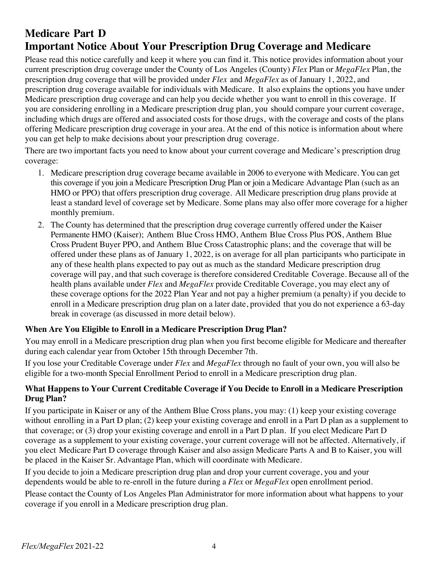# **Medicare Part D Important Notice About Your Prescription Drug Coverage and Medicare**

Please read this notice carefully and keep it where you can find it. This notice provides information about your current prescription drug coverage under the County of Los Angeles (County) *Flex* Plan or *MegaFlex* Plan, the prescription drug coverage that will be provided under *Flex* and *MegaFlex* as of January 1, 2022, and prescription drug coverage available for individuals with Medicare. It also explains the options you have under Medicare prescription drug coverage and can help you decide whether you want to enroll in this coverage. If you are considering enrolling in a Medicare prescription drug plan, you should compare your current coverage, including which drugs are offered and associated costs for those drugs, with the coverage and costs of the plans offering Medicare prescription drug coverage in your area. At the end of this notice is information about where you can get help to make decisions about your prescription drug coverage.

There are two important facts you need to know about your current coverage and Medicare's prescription drug coverage:

- 1. Medicare prescription drug coverage became available in 2006 to everyone with Medicare. You can get this coverage if you join a Medicare Prescription Drug Plan or join a Medicare Advantage Plan (such as an HMO or PPO) that offers prescription drug coverage. All Medicare prescription drug plans provide at least a standard level of coverage set by Medicare. Some plans may also offer more coverage for a higher monthly premium.
- 2. The County has determined that the prescription drug coverage currently offered under the Kaiser Permanente HMO (Kaiser); Anthem Blue Cross HMO, Anthem Blue Cross Plus POS, Anthem Blue Cross Prudent Buyer PPO, and Anthem Blue Cross Catastrophic plans; and the coverage that will be offered under these plans as of January 1, 2022, is on average for all plan participants who participate in any of these health plans expected to pay out as much as the standard Medicare prescription drug coverage will pay, and that such coverage is therefore considered Creditable Coverage. Because all of the health plans available under *Flex* and *MegaFlex* provide Creditable Coverage, you may elect any of these coverage options for the 2022 Plan Year and not pay a higher premium (a penalty) if you decide to enroll in a Medicare prescription drug plan on a later date, provided that you do not experience a 63-day break in coverage (as discussed in more detail below).

## **When Are You Eligible to Enroll in a Medicare Prescription Drug Plan?**

You may enroll in a Medicare prescription drug plan when you first become eligible for Medicare and thereafter during each calendar year from October 15th through December 7th.

If you lose your Creditable Coverage under *Flex* and *MegaFlex* through no fault of your own, you will also be eligible for a two-month Special Enrollment Period to enroll in a Medicare prescription drug plan.

## **What Happens to Your Current Creditable Coverage if You Decide to Enroll in a Medicare Prescription Drug Plan?**

If you participate in Kaiser or any of the Anthem Blue Cross plans, you may: (1) keep your existing coverage without enrolling in a Part D plan; (2) keep your existing coverage and enroll in a Part D plan as a supplement to that coverage; or (3) drop your existing coverage and enroll in a Part D plan. If you elect Medicare Part D coverage as a supplement to your existing coverage, your current coverage will not be affected. Alternatively, if you elect Medicare Part D coverage through Kaiser and also assign Medicare Parts A and B to Kaiser, you will be placed in the Kaiser Sr. Advantage Plan, which will coordinate with Medicare.

If you decide to join a Medicare prescription drug plan and drop your current coverage, you and your dependents would be able to re-enroll in the future during a *Flex* or *MegaFlex* open enrollment period.

Please contact the County of Los Angeles Plan Administrator for more information about what happens to your coverage if you enroll in a Medicare prescription drug plan.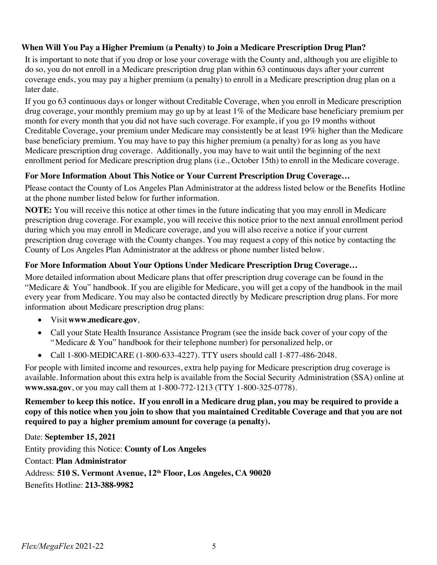### **When Will You Pay a Higher Premium (a Penalty) to Join a Medicare Prescription Drug Plan?**

It is important to note that if you drop or lose your coverage with the County and, although you are eligible to do so, you do not enroll in a Medicare prescription drug plan within 63 continuous days after your current coverage ends, you may pay a higher premium (a penalty) to enroll in a Medicare prescription drug plan on a later date.

If you go 63 continuous days or longer without Creditable Coverage, when you enroll in Medicare prescription drug coverage, your monthly premium may go up by at least 1% of the Medicare base beneficiary premium per month for every month that you did not have such coverage. For example, if you go 19 months without Creditable Coverage, your premium under Medicare may consistently be at least 19% higher than the Medicare base beneficiary premium. You may have to pay this higher premium (a penalty) for as long as you have Medicare prescription drug coverage. Additionally, you may have to wait until the beginning of the next enrollment period for Medicare prescription drug plans (i.e., October 15th) to enroll in the Medicare coverage.

### **For More Information About This Notice or Your Current Prescription Drug Coverage…**

Please contact the County of Los Angeles Plan Administrator at the address listed below or the Benefits Hotline at the phone number listed below for further information.

**NOTE:** You will receive this notice at other times in the future indicating that you may enroll in Medicare prescription drug coverage. For example, you will receive this notice prior to the next annual enrollment period during which you may enroll in Medicare coverage, and you will also receive a notice if your current prescription drug coverage with the County changes. You may request a copy of this notice by contacting the County of Los Angeles Plan Administrator at the address or phone number listed below.

### **For More Information About Your Options Under Medicare Prescription Drug Coverage…**

More detailed information about Medicare plans that offer prescription drug coverage can be found in the "Medicare & You" handbook. If you are eligible for Medicare, you will get a copy of the handbook in the mail every year from Medicare. You may also be contacted directly by Medicare prescription drug plans. For more information about Medicare prescription drug plans:

- Visit**www.medicare.gov**,
- Call your State Health Insurance Assistance Program (see the inside back cover of your copy of the "Medicare & You" handbook for their telephone number) for personalized help, or
- Call 1-800-MEDICARE (1-800-633-4227). TTY users should call 1-877-486-2048.

For people with limited income and resources, extra help paying for Medicare prescription drug coverage is available. Information about this extra help is available from the Social Security Administration (SSA) online at **www.ssa.gov**, or you may call them at 1-800-772-1213 (TTY 1-800-325-0778).

### Remember to keep this notice. If you enroll in a Medicare drug plan, you may be required to provide a copy of this notice when you join to show that you maintained Creditable Coverage and that you are not **required to pay a higher premium amount for coverage (a penalty).**

Date: **September 15, 2021** Entity providing this Notice: **County of Los Angeles** Contact: **Plan Administrator** Address: **510 S. Vermont Avenue, 12th Floor, Los Angeles, CA 90020** Benefits Hotline: **213-388-9982**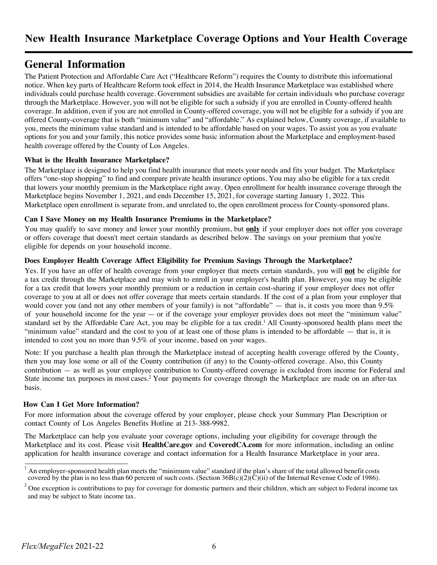## **General Information**

The Patient Protection and Affordable Care Act ("Healthcare Reform") requires the County to distribute this informational notice. When key parts of Healthcare Reform took effect in 2014, the Health Insurance Marketplace was established where individuals could purchase health coverage. Government subsidies are available for certain individuals who purchase coverage through the Marketplace. However, you will not be eligible for such a subsidy if you are enrolled in County-offered health coverage. In addition, even if you are not enrolled in County-offered coverage, you will not be eligible for a subsidy if you are offered County-coverage that is both "minimum value" and "affordable." As explained below, County coverage, if available to you, meets the minimum value standard and is intended to be affordable based on your wages. To assist you as you evaluate options for you and your family, this notice provides some basic information about the Marketplace and employment-based health coverage offered by the County of Los Angeles.

#### **What is the Health Insurance Marketplace?**

The Marketplace is designed to help you find health insurance that meets your needs and fits your budget. The Marketplace offers "one-stop shopping" to find and compare private health insurance options. You may also be eligible for a tax credit that lowers your monthly premium in the Marketplace right away. Open enrollment for health insurance coverage through the Marketplace begins November 1, 2021, and ends December 15, 2021, for coverage starting January 1, 2022. This Marketplace open enrollment is separate from, and unrelated to, the open enrollment process for County-sponsored plans.

#### **Can I Save Money on my Health Insurance Premiums in the Marketplace?**

You may qualify to save money and lower your monthly premium, but **only** if your employer does not offer you coverage or offers coverage that doesn't meet certain standards as described below. The savings on your premium that you're eligible for depends on your household income.

#### **Does Employer Health Coverage Affect Eligibility for Premium Savings Through the Marketplace?**

Yes. If you have an offer of health coverage from your employer that meets certain standards, you will **not** be eligible for a tax credit through the Marketplace and may wish to enroll in your employer's health plan. However, you may be eligible for a tax credit that lowers your monthly premium or a reduction in certain cost-sharing if your employer does not offer coverage to you at all or does not offer coverage that meets certain standards. If the cost of a plan from your employer that would cover you (and not any other members of your family) is not "affordable" — that is, it costs you more than  $9.5\%$ of your household income for the year — or if the coverage your employer provides does not meet the "minimum value" standard set by the Affordable Care Act, you may be eligible for a tax credit. <sup>1</sup> All County-sponsored health plans meet the "minimum value" standard and the cost to you of at least one of those plans is intended to be affordable — that is, it is intended to cost you no more than 9.5% of your income, based on your wages.

Note: If you purchase a health plan through the Marketplace instead of accepting health coverage offered by the County, then you may lose some or all of the County contribution (if any) to the County-offered coverage. Also, this County contribution — as well as your employee contribution to County-offered coverage is excluded from income for Federal and State income tax purposes in most cases.<sup>2</sup> Your payments for coverage through the Marketplace are made on an after-tax basis.

#### **How Can I Get More Information?**

For more information about the coverage offered by your employer, please check your Summary Plan Description or contact County of Los Angeles Benefits Hotline at 213-388-9982.

The Marketplace can help you evaluate your coverage options, including your eligibility for coverage through the Marketplace and its cost. Please visit **HealthCare.gov** and **CoveredCA.com** for more information, including an online application for health insurance coverage and contact information for a Health Insurance Marketplace in your area.

<sup>1</sup> An employer-sponsored health plan meets the "minimum value" standard if the plan's share of the total allowed benefit costs covered by the plan is no less than 60 percent of such costs. (Section  $36B(c)(2)(\dot{C})(i)$  of the Internal Revenue Code of 1986).

 $2$  One exception is contributions to pay for coverage for domestic partners and their children, which are subject to Federal income tax and may be subject to State income tax.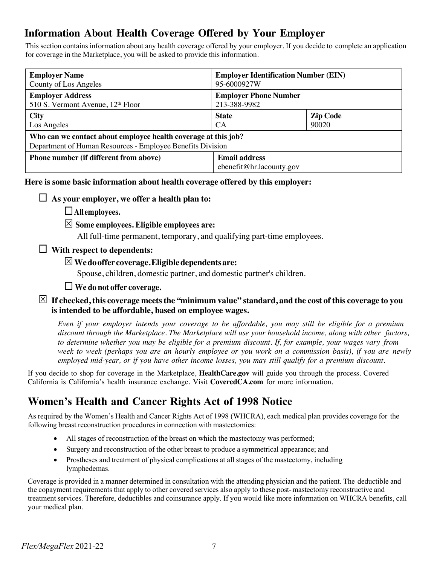# **Information About Health Coverage Offered by Your Employer**

This section contains information about any health coverage offered by your employer. If you decide to complete an application for coverage in the Marketplace, you will be asked to provide this information.

| <b>Employer Name</b>                                                                                                         | <b>Employer Identification Number (EIN)</b>      |                 |  |  |
|------------------------------------------------------------------------------------------------------------------------------|--------------------------------------------------|-----------------|--|--|
| County of Los Angeles                                                                                                        | 95-6000927W                                      |                 |  |  |
| <b>Employer Address</b>                                                                                                      | <b>Employer Phone Number</b>                     |                 |  |  |
| 510 S. Vermont Avenue, 12th Floor                                                                                            | 213-388-9982                                     |                 |  |  |
| <b>City</b>                                                                                                                  | <b>State</b>                                     | <b>Zip Code</b> |  |  |
| Los Angeles                                                                                                                  | <b>CA</b>                                        | 90020           |  |  |
| Who can we contact about employee health coverage at this job?<br>Department of Human Resources - Employee Benefits Division |                                                  |                 |  |  |
| <b>Phone number (if different from above)</b>                                                                                | <b>Email address</b><br>ebenefit@hr.lacounty.gov |                 |  |  |

**Here is some basic information about health coverage offered by this employer:**

 $\Box$  As your employer, we offer a health plan to:

¨**Allemployees.**

## S **Some employees. Eligible employees are:**

All full-time permanent, temporary, and qualifying part-time employees.

## ¨ **With respect to dependents:**

## S**Wedooffer coverage.Eligibledependentsare:**

Spouse, children, domestic partner, and domestic partner's children.

### ¨ **We do not offer coverage.**

### $\boxtimes$  If checked, this coverage meets the **"minimum** value" standard, and the cost of this coverage to you **is intended to be affordable, based on employee wages.**

Even if your employer intends your coverage to be affordable, you may still be eligible for a premium *discount through the Marketplace. The Marketplace will use your household income, along with other factors,* to determine whether you may be eligible for a premium discount. If, for example, your wages vary from week to week (perhaps you are an hourly employee or you work on a commission basis), if you are newly *employed mid-year, or if you have other income losses, you may still qualify for a premium discount.*

If you decide to shop for coverage in the Marketplace, **HealthCare.gov** will guide you through the process. Covered California is California's health insurance exchange. Visit **CoveredCA.com** for more information.

# **Women's Health and Cancer Rights Act of 1998 Notice**

As required by the Women's Health and Cancer Rights Act of 1998 (WHCRA), each medical plan provides coverage for the following breast reconstruction procedures in connection with mastectomies:

- All stages of reconstruction of the breast on which the mastectomy was performed;
- Surgery and reconstruction of the other breast to produce a symmetrical appearance; and
- Prostheses and treatment of physical complications at all stages of the mastectomy, including lymphedemas.

Coverage is provided in a manner determined in consultation with the attending physician and the patient. The deductible and the copayment requirements that apply to other covered services also apply to these post-mastectomy reconstructive and treatment services. Therefore, deductibles and coinsurance apply. If you would like more information on WHCRA benefits, call your medical plan.